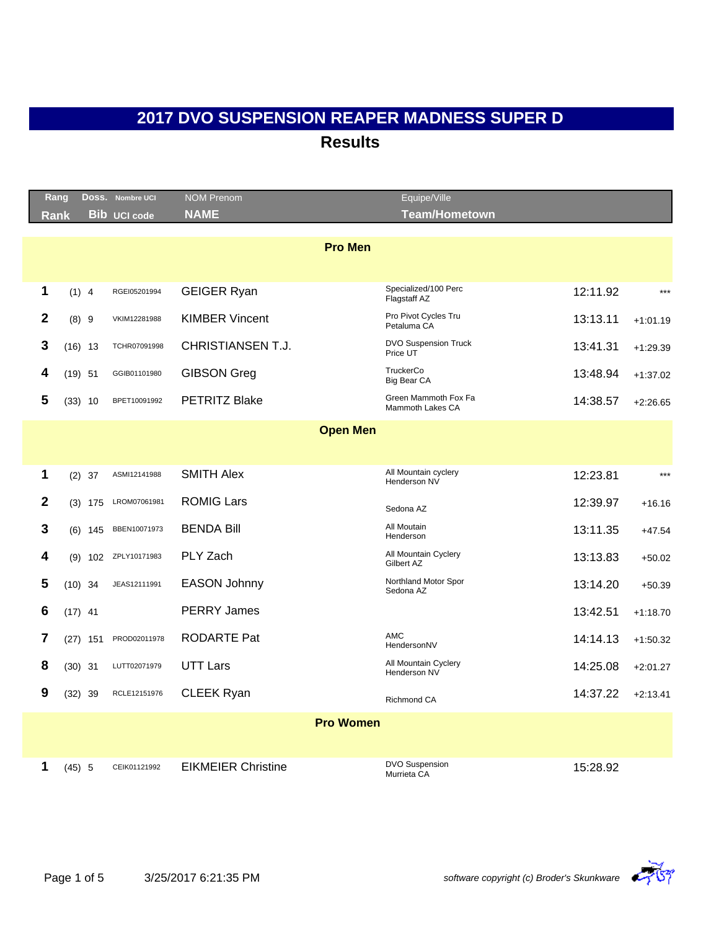|                | Rang       | Doss. Nombre UCI     | <b>NOM Prenom</b>         | Equipe/Ville                             |          |            |
|----------------|------------|----------------------|---------------------------|------------------------------------------|----------|------------|
| <b>Rank</b>    |            | <b>Bib</b> UCI code  | <b>NAME</b>               | <b>Team/Hometown</b>                     |          |            |
|                |            |                      |                           | <b>Pro Men</b>                           |          |            |
|                |            |                      |                           |                                          |          |            |
| $\mathbf 1$    | (1) 4      | RGEI05201994         | <b>GEIGER Ryan</b>        | Specialized/100 Perc<br>Flagstaff AZ     | 12:11.92 | $***$      |
| $\overline{2}$ | (8) 9      | VKIM12281988         | <b>KIMBER Vincent</b>     | Pro Pivot Cycles Tru<br>Petaluma CA      | 13:13.11 | $+1:01.19$ |
| 3              | $(16)$ 13  | TCHR07091998         | <b>CHRISTIANSEN T.J.</b>  | <b>DVO Suspension Truck</b><br>Price UT  | 13:41.31 | $+1:29.39$ |
| 4              | $(19)$ 51  | GGIB01101980         | <b>GIBSON Greg</b>        | TruckerCo<br><b>Big Bear CA</b>          | 13:48.94 | $+1:37.02$ |
| 5              | $(33)$ 10  | BPET10091992         | <b>PETRITZ Blake</b>      | Green Mammoth Fox Fa<br>Mammoth Lakes CA | 14:38.57 | $+2:26.65$ |
|                |            |                      |                           | <b>Open Men</b>                          |          |            |
|                |            |                      |                           |                                          |          |            |
| 1              | $(2)$ 37   | ASMI12141988         | <b>SMITH Alex</b>         | All Mountain cyclery<br>Henderson NV     | 12:23.81 | $***$      |
| $\mathbf{2}$   | $(3)$ 175  | LROM07061981         | <b>ROMIG Lars</b>         | Sedona AZ                                | 12:39.97 | $+16.16$   |
| 3              | (6)        | BBEN10071973<br>145  | <b>BENDA Bill</b>         | All Moutain<br>Henderson                 | 13:11.35 | $+47.54$   |
| 4              |            | (9) 102 ZPLY10171983 | PLY Zach                  | All Mountain Cyclery<br>Gilbert AZ       | 13:13.83 | $+50.02$   |
| 5              | $(10)$ 34  | JEAS12111991         | <b>EASON Johnny</b>       | Northland Motor Spor<br>Sedona AZ        | 13:14.20 | $+50.39$   |
| 6              | $(17)$ 41  |                      | <b>PERRY James</b>        |                                          | 13:42.51 | $+1:18.70$ |
| 7              | $(27)$ 151 | PROD02011978         | <b>RODARTE Pat</b>        | <b>AMC</b><br>HendersonNV                | 14:14.13 | $+1:50.32$ |
| 8              | $(30)$ 31  | LUTT02071979         | <b>UTT Lars</b>           | All Mountain Cyclery<br>Henderson NV     | 14:25.08 | $+2:01.27$ |
| 9              | $(32)$ 39  | RCLE12151976         | <b>CLEEK Ryan</b>         | Richmond CA                              | 14:37.22 | $+2:13.41$ |
|                |            |                      |                           | <b>Pro Women</b>                         |          |            |
|                |            |                      |                           |                                          |          |            |
| 1              | $(45)$ 5   | CEIK01121992         | <b>EIKMEIER Christine</b> | DVO Suspension<br>Murrieta CA            | 15:28.92 |            |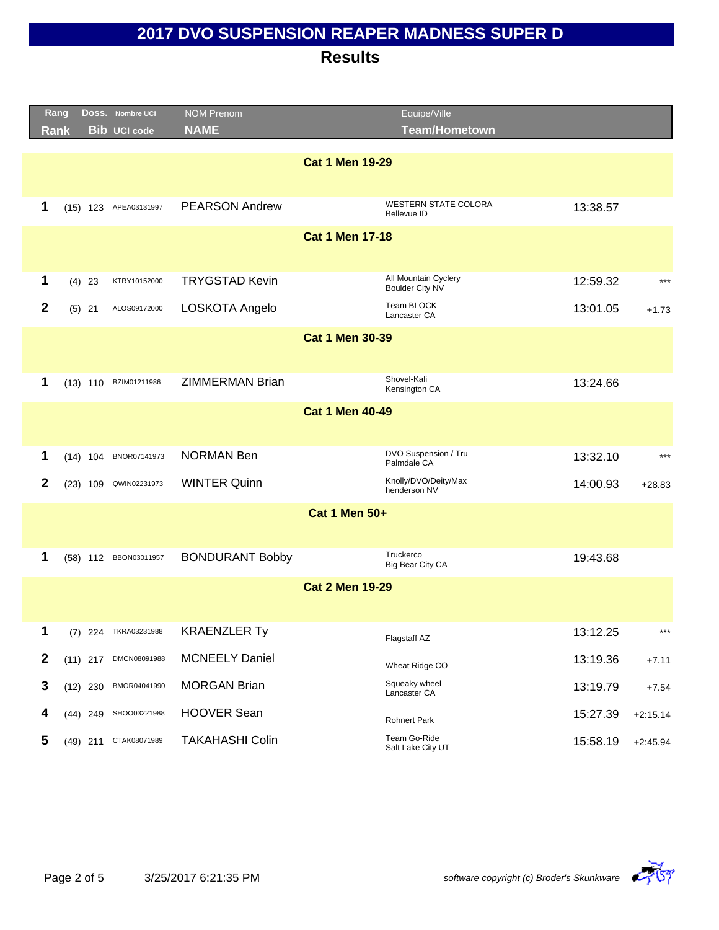|                  | Rang        |            | DOSS. Nombre UCI      | <b>NOM Prenom</b>      |                        | Equipe/Ville                                   |          |            |
|------------------|-------------|------------|-----------------------|------------------------|------------------------|------------------------------------------------|----------|------------|
|                  | <b>Rank</b> |            | <b>Bib UCI code</b>   | <b>NAME</b>            |                        | <b>Team/Hometown</b>                           |          |            |
|                  |             |            |                       |                        |                        |                                                |          |            |
|                  |             |            |                       |                        | <b>Cat 1 Men 19-29</b> |                                                |          |            |
|                  |             |            |                       |                        |                        |                                                |          |            |
| 1                |             |            | (15) 123 APEA03131997 | <b>PEARSON Andrew</b>  |                        | <b>WESTERN STATE COLORA</b><br>Bellevue ID     | 13:38.57 |            |
|                  |             |            |                       |                        | <b>Cat 1 Men 17-18</b> |                                                |          |            |
|                  |             |            |                       |                        |                        |                                                |          |            |
| 1                |             | $(4)$ 23   | KTRY10152000          | <b>TRYGSTAD Kevin</b>  |                        | All Mountain Cyclery<br><b>Boulder City NV</b> | 12:59.32 | $***$      |
| $\overline{2}$   |             | $(5)$ 21   | ALOS09172000          | LOSKOTA Angelo         |                        | Team BLOCK<br>Lancaster CA                     | 13:01.05 | $+1.73$    |
|                  |             |            |                       |                        |                        |                                                |          |            |
|                  |             |            |                       |                        | <b>Cat 1 Men 30-39</b> |                                                |          |            |
|                  |             |            |                       |                        |                        |                                                |          |            |
| 1                |             |            | (13) 110 BZIM01211986 | <b>ZIMMERMAN Brian</b> |                        | Shovel-Kali<br>Kensington CA                   | 13:24.66 |            |
|                  |             |            |                       |                        | <b>Cat 1 Men 40-49</b> |                                                |          |            |
|                  |             |            |                       |                        |                        |                                                |          |            |
| 1                |             |            | (14) 104 BNOR07141973 | <b>NORMAN Ben</b>      |                        | DVO Suspension / Tru                           | 13:32.10 | $***$      |
|                  |             |            |                       |                        |                        | Palmdale CA                                    |          |            |
| $\mathbf{2}$     |             | $(23)$ 109 | QWIN02231973          | <b>WINTER Quinn</b>    |                        | Knolly/DVO/Deity/Max<br>henderson NV           | 14:00.93 | $+28.83$   |
|                  |             |            |                       |                        | <b>Cat 1 Men 50+</b>   |                                                |          |            |
|                  |             |            |                       |                        |                        |                                                |          |            |
| 1                |             |            | (58) 112 BBON03011957 | <b>BONDURANT Bobby</b> |                        | Truckerco                                      | 19:43.68 |            |
|                  |             |            |                       |                        |                        | Big Bear City CA                               |          |            |
|                  |             |            |                       |                        | <b>Cat 2 Men 19-29</b> |                                                |          |            |
|                  |             |            |                       |                        |                        |                                                |          |            |
| 1                |             |            | (7) 224 TKRA03231988  | <b>KRAENZLER Ty</b>    |                        | Flagstaff AZ                                   | 13:12.25 | ***        |
| $\boldsymbol{2}$ |             |            | (11) 217 DMCN08091988 | <b>MCNEELY Daniel</b>  |                        | Wheat Ridge CO                                 | 13:19.36 | $+7.11$    |
| $\mathbf 3$      |             | $(12)$ 230 | BMOR04041990          | <b>MORGAN Brian</b>    |                        | Squeaky wheel<br>Lancaster CA                  | 13:19.79 | $+7.54$    |
| 4                |             | (44) 249   | SHOO03221988          | <b>HOOVER Sean</b>     |                        | <b>Rohnert Park</b>                            | 15:27.39 | $+2:15.14$ |
| 5                |             | $(49)$ 211 | CTAK08071989          | <b>TAKAHASHI Colin</b> |                        | Team Go-Ride<br>Salt Lake City UT              | 15:58.19 | $+2:45.94$ |

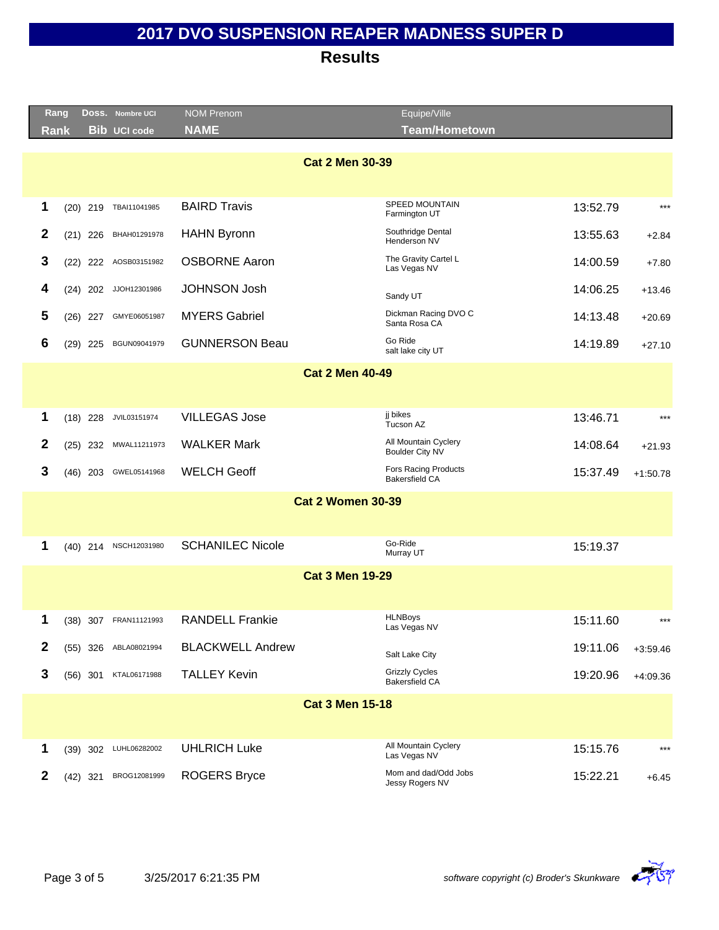|                          | Rang        | DOSS. Nombre UCI      | <b>NOM Prenom</b>       | Equipe/Ville                                         |          |            |  |  |
|--------------------------|-------------|-----------------------|-------------------------|------------------------------------------------------|----------|------------|--|--|
|                          | Rank        | <b>Bib UCI code</b>   | <b>NAME</b>             | <b>Team/Hometown</b>                                 |          |            |  |  |
|                          |             |                       | <b>Cat 2 Men 30-39</b>  |                                                      |          |            |  |  |
|                          |             |                       |                         |                                                      |          |            |  |  |
| 1                        | $(20)$ 219  | TBAI11041985          | <b>BAIRD Travis</b>     | SPEED MOUNTAIN<br>Farmington UT                      | 13:52.79 | $***$      |  |  |
| 2                        | $(21)$ 226  | BHAH01291978          | <b>HAHN Byronn</b>      | Southridge Dental<br>Henderson NV                    | 13:55.63 | $+2.84$    |  |  |
| 3                        | 222<br>(22) | AOSB03151982          | <b>OSBORNE Aaron</b>    | The Gravity Cartel L<br>Las Vegas NV                 | 14:00.59 | $+7.80$    |  |  |
| 4                        | 202<br>(24) | JJOH12301986          | <b>JOHNSON Josh</b>     | Sandy UT                                             | 14:06.25 | $+13.46$   |  |  |
| 5                        | $(26)$ 227  | GMYE06051987          | <b>MYERS Gabriel</b>    | Dickman Racing DVO C<br>Santa Rosa CA                | 14:13.48 | $+20.69$   |  |  |
| 6                        | $(29)$ 225  | BGUN09041979          | <b>GUNNERSON Beau</b>   | Go Ride<br>salt lake city UT                         | 14:19.89 | $+27.10$   |  |  |
|                          |             |                       | <b>Cat 2 Men 40-49</b>  |                                                      |          |            |  |  |
|                          |             |                       |                         |                                                      |          |            |  |  |
| 1                        | $(18)$ 228  | JVIL03151974          | <b>VILLEGAS Jose</b>    | ji bikes<br>Tucson AZ                                | 13:46.71 | $***$      |  |  |
| $\mathbf{2}$             | 232<br>(25) | MWAL11211973          | <b>WALKER Mark</b>      | All Mountain Cyclery<br>Boulder City NV              | 14:08.64 | $+21.93$   |  |  |
| 3                        | $(46)$ 203  | GWEL05141968          | <b>WELCH Geoff</b>      | <b>Fors Racing Products</b><br><b>Bakersfield CA</b> | 15:37.49 | $+1:50.78$ |  |  |
| <b>Cat 2 Women 30-39</b> |             |                       |                         |                                                      |          |            |  |  |
|                          |             |                       |                         |                                                      |          |            |  |  |
| 1                        | $(40)$ 214  | NSCH12031980          | <b>SCHANILEC Nicole</b> | Go-Ride<br>Murray UT                                 | 15:19.37 |            |  |  |
|                          |             |                       | <b>Cat 3 Men 19-29</b>  |                                                      |          |            |  |  |
|                          |             |                       |                         |                                                      |          |            |  |  |
| 1                        |             | (38) 307 FRAN11121993 | <b>RANDELL Frankie</b>  | <b>HLNBoys</b><br>Las Vegas NV                       | 15:11.60 | $***$      |  |  |
| $\mathbf 2$              | (55)<br>326 | ABLA08021994          | <b>BLACKWELL Andrew</b> | Salt Lake City                                       | 19:11.06 | $+3:59.46$ |  |  |
| 3                        | $(56)$ 301  | KTAL06171988          | <b>TALLEY Kevin</b>     | <b>Grizzly Cycles</b><br><b>Bakersfield CA</b>       | 19:20.96 | $+4:09.36$ |  |  |
|                          |             |                       | <b>Cat 3 Men 15-18</b>  |                                                      |          |            |  |  |
|                          |             |                       |                         |                                                      |          |            |  |  |
| 1                        |             | (39) 302 LUHL06282002 | <b>UHLRICH Luke</b>     | All Mountain Cyclery<br>Las Vegas NV                 | 15:15.76 | $***$      |  |  |
| $\mathbf{2}$             | $(42)$ 321  | BROG12081999          | <b>ROGERS Bryce</b>     | Mom and dad/Odd Jobs<br>Jessy Rogers NV              | 15:22.21 | $+6.45$    |  |  |

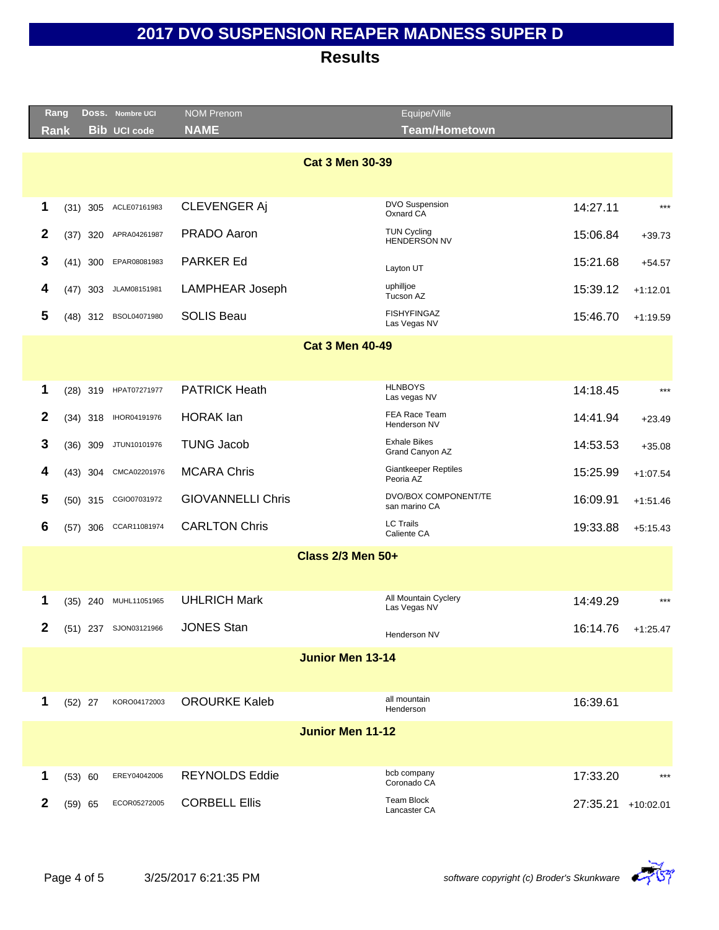|              | Rang        | Doss. Nombre UCI      | <b>NOM Prenom</b>        | Equipe/Ville                             |          |             |
|--------------|-------------|-----------------------|--------------------------|------------------------------------------|----------|-------------|
|              | <b>Rank</b> | <b>Bib UCI code</b>   | <b>NAME</b>              | <b>Team/Hometown</b>                     |          |             |
|              |             |                       |                          |                                          |          |             |
|              |             |                       |                          | <b>Cat 3 Men 30-39</b>                   |          |             |
|              |             |                       |                          |                                          |          |             |
| 1            | 305<br>(31) | ACLE07161983          | <b>CLEVENGER Aj</b>      | DVO Suspension<br>Oxnard CA              | 14:27.11 | $***$       |
| $\mathbf{2}$ | 320<br>(37) | APRA04261987          | PRADO Aaron              | <b>TUN Cycling</b><br>HENDERSON NV       | 15:06.84 | $+39.73$    |
| 3            | $(41)$ 300  | EPAR08081983          | <b>PARKER Ed</b>         | Layton UT                                | 15:21.68 | $+54.57$    |
| 4            | (47)<br>303 | JLAM08151981          | LAMPHEAR Joseph          | uphilljoe<br>Tucson AZ                   | 15:39.12 | $+1:12.01$  |
| 5            |             | (48) 312 BSOL04071980 | <b>SOLIS Beau</b>        | <b>FISHYFINGAZ</b><br>Las Vegas NV       | 15:46.70 | $+1:19.59$  |
|              |             |                       |                          | <b>Cat 3 Men 40-49</b>                   |          |             |
|              |             |                       |                          |                                          |          |             |
| 1            | $(28)$ 319  | HPAT07271977          | <b>PATRICK Heath</b>     | <b>HLNBOYS</b><br>Las vegas NV           | 14:18.45 | $***$       |
| $\mathbf{2}$ | $(34)$ 318  | IHOR04191976          | <b>HORAK</b> lan         | FEA Race Team<br>Henderson NV            | 14:41.94 | $+23.49$    |
| 3            | $(36)$ 309  | JTUN10101976          | <b>TUNG Jacob</b>        | <b>Exhale Bikes</b><br>Grand Canyon AZ   | 14:53.53 | $+35.08$    |
| 4            | (43)<br>304 | CMCA02201976          | <b>MCARA Chris</b>       | <b>Giantkeeper Reptiles</b><br>Peoria AZ | 15:25.99 | $+1:07.54$  |
| 5            | (50)<br>315 | CGIO07031972          | <b>GIOVANNELLI Chris</b> | DVO/BOX COMPONENT/TE<br>san marino CA    | 16:09.91 | $+1:51.46$  |
| 6            | 306<br>(57) | CCAR11081974          | <b>CARLTON Chris</b>     | <b>LC Trails</b><br>Caliente CA          | 19:33.88 | $+5:15.43$  |
|              |             |                       |                          | <b>Class 2/3 Men 50+</b>                 |          |             |
|              |             |                       |                          |                                          |          |             |
| 1            | $(35)$ 240  | MUHL11051965          | <b>UHLRICH Mark</b>      | All Mountain Cyclery<br>Las Vegas NV     | 14:49.29 | $***$       |
| 2            |             | (51) 237 SJON03121966 | <b>JONES Stan</b>        | Henderson NV                             | 16:14.76 | $+1:25.47$  |
|              |             |                       |                          | <b>Junior Men 13-14</b>                  |          |             |
|              |             |                       |                          |                                          |          |             |
| 1            | $(52)$ 27   | KORO04172003          | <b>OROURKE Kaleb</b>     | all mountain<br>Henderson                | 16:39.61 |             |
|              |             |                       |                          | <b>Junior Men 11-12</b>                  |          |             |
|              |             |                       |                          |                                          |          |             |
| 1            | (53) 60     | EREY04042006          | <b>REYNOLDS Eddie</b>    | bcb company<br>Coronado CA               | 17:33.20 | $***$       |
| $\mathbf{2}$ | $(59)$ 65   | ECOR05272005          | <b>CORBELL Ellis</b>     | Team Block<br>Lancaster CA               | 27:35.21 | $+10:02.01$ |